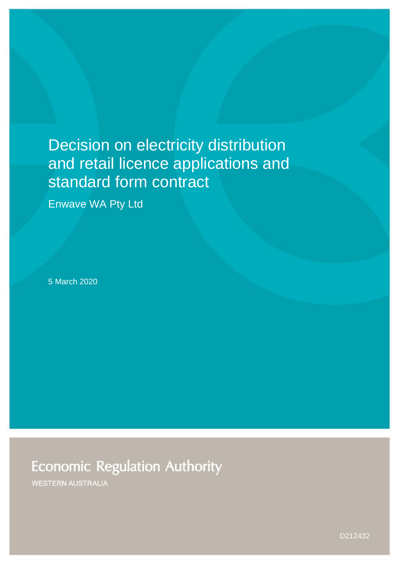# Decision on electricity distribution and retail licence applications and standard form contract

Enwave WA Pty Ltd

5 March 2020

**Economic Regulation Authority** 

**WESTERN AUSTRALIA**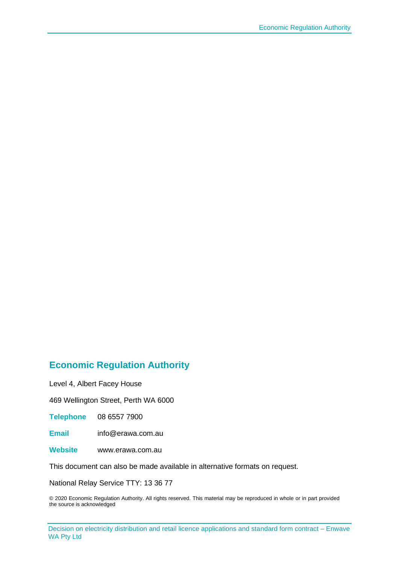### **Economic Regulation Authority**

Level 4, Albert Facey House

469 Wellington Street, Perth WA 6000

**Telephone** 08 6557 7900

**Email** info@erawa.com.au

**Website** www.erawa.com.au

This document can also be made available in alternative formats on request.

National Relay Service TTY: 13 36 77

© 2020 Economic Regulation Authority. All rights reserved. This material may be reproduced in whole or in part provided the source is acknowledged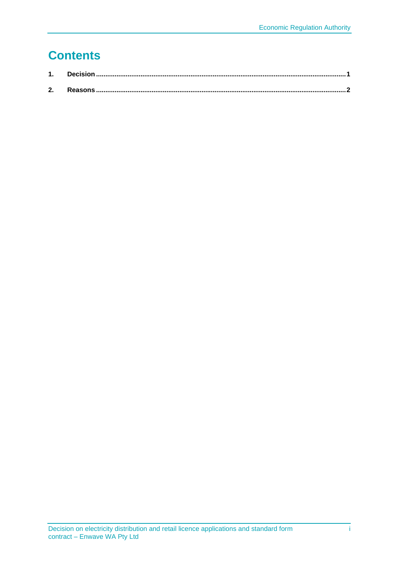## **Contents**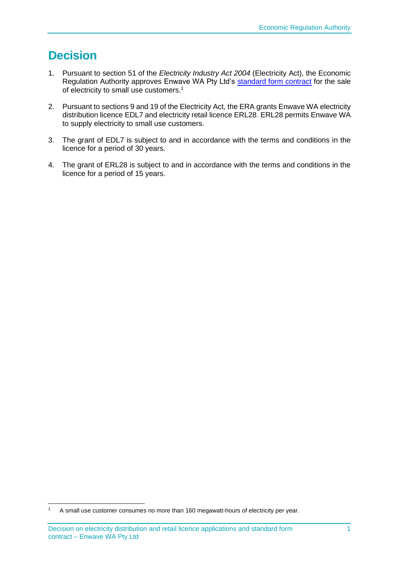### <span id="page-3-0"></span>**Decision**

- 1. Pursuant to section 51 of the *Electricity Industry Act 2004* (Electricity Act), the Economic Regulation Authority approves Enwave WA Pty Ltd's standard form contract for the sale of electricity to small use customers.<sup>1</sup>
- 2. Pursuant to sections 9 and 19 of the Electricity Act, the ERA grants Enwave WA electricity distribution licence EDL7 and electricity retail licence ERL28. ERL28 permits Enwave WA to supply electricity to small use customers.
- 3. The grant of EDL7 is subject to and in accordance with the terms and conditions in the licence for a period of 30 years.
- 4. The grant of ERL28 is subject to and in accordance with the terms and conditions in the licence for a period of 15 years.

<sup>1</sup> A small use customer consumes no more than 160 megawatt-hours of electricity per year.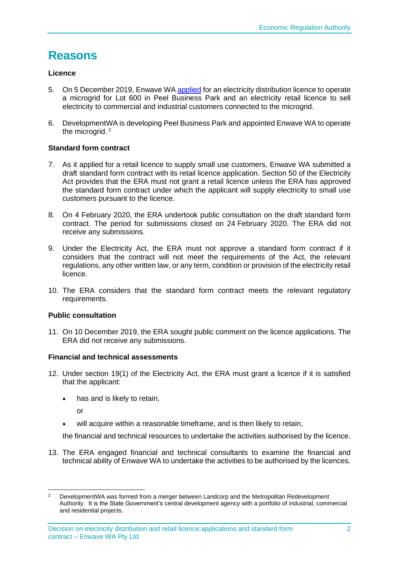### <span id="page-4-0"></span>**Reasons**

#### **Licence**

- 5. On 5 December 2019, Enwave WA [applied](http://www.erawa.com.au/cproot/20858/2/Combined-Licence-Application-Summary-for-Publication---EDL007-ERL028---Enwave-WA-Pty-Ltd.PDF) for an electricity distribution licence to operate a microgrid for Lot 600 in Peel Business Park and an electricity retail licence to sell electricity to commercial and industrial customers connected to the microgrid.
- 6. DevelopmentWA is developing Peel Business Park and appointed Enwave WA to operate the microgrid.<sup>2</sup>

#### **Standard form contract**

- 7. As it applied for a retail licence to supply small use customers, Enwave WA submitted a draft standard form contract with its retail licence application. Section 50 of the Electricity Act provides that the ERA must not grant a retail licence unless the ERA has approved the standard form contract under which the applicant will supply electricity to small use customers pursuant to the licence.
- 8. On 4 February 2020, the ERA undertook public consultation on the draft standard form contract. The period for submissions closed on 24 February 2020. The ERA did not receive any submissions.
- 9. Under the Electricity Act, the ERA must not approve a standard form contract if it considers that the contract will not meet the requirements of the Act, the relevant regulations, any other written law, or any term, condition or provision of the electricity retail licence.
- 10. The ERA considers that the standard form contract meets the relevant regulatory requirements.

#### **Public consultation**

11. On 10 December 2019, the ERA sought public comment on the licence applications. The ERA did not receive any submissions.

#### **Financial and technical assessments**

- 12. Under section 19(1) of the Electricity Act, the ERA must grant a licence if it is satisfied that the applicant:
	- has and is likely to retain.

or

will acquire within a reasonable timeframe, and is then likely to retain.

the financial and technical resources to undertake the activities authorised by the licence.

13. The ERA engaged financial and technical consultants to examine the financial and technical ability of Enwave WA to undertake the activities to be authorised by the licences.

<sup>&</sup>lt;sup>2</sup> DevelopmentWA was formed from a merger between Landcorp and the Metropolitan Redevelopment Authority. It is the State Government's central development agency with a portfolio of industrial, commercial and residential projects.

Decision on electricity distribution and retail licence applications and standard form contract – Enwave WA Pty Ltd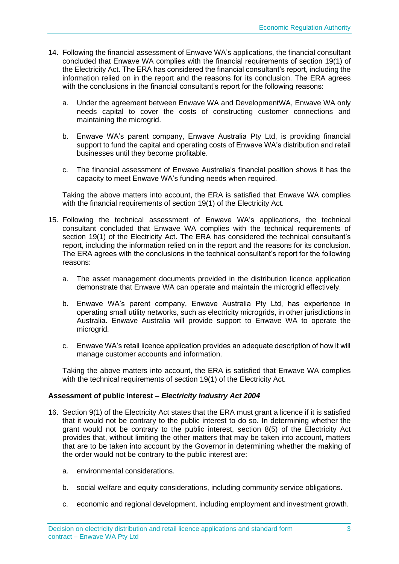- 14. Following the financial assessment of Enwave WA's applications, the financial consultant concluded that Enwave WA complies with the financial requirements of section 19(1) of the Electricity Act. The ERA has considered the financial consultant's report, including the information relied on in the report and the reasons for its conclusion. The ERA agrees with the conclusions in the financial consultant's report for the following reasons:
	- a. Under the agreement between Enwave WA and DevelopmentWA, Enwave WA only needs capital to cover the costs of constructing customer connections and maintaining the microgrid.
	- b. Enwave WA's parent company, Enwave Australia Pty Ltd, is providing financial support to fund the capital and operating costs of Enwave WA's distribution and retail businesses until they become profitable.
	- c. The financial assessment of Enwave Australia's financial position shows it has the capacity to meet Enwave WA's funding needs when required.

Taking the above matters into account, the ERA is satisfied that Enwave WA complies with the financial requirements of section 19(1) of the Electricity Act.

- 15. Following the technical assessment of Enwave WA's applications, the technical consultant concluded that Enwave WA complies with the technical requirements of section 19(1) of the Electricity Act. The ERA has considered the technical consultant's report, including the information relied on in the report and the reasons for its conclusion. The ERA agrees with the conclusions in the technical consultant's report for the following reasons:
	- a. The asset management documents provided in the distribution licence application demonstrate that Enwave WA can operate and maintain the microgrid effectively.
	- b. Enwave WA's parent company, Enwave Australia Pty Ltd, has experience in operating small utility networks, such as electricity microgrids, in other jurisdictions in Australia. Enwave Australia will provide support to Enwave WA to operate the microgrid.
	- c. Enwave WA's retail licence application provides an adequate description of how it will manage customer accounts and information.

Taking the above matters into account, the ERA is satisfied that Enwave WA complies with the technical requirements of section 19(1) of the Electricity Act.

#### **Assessment of public interest –** *Electricity Industry Act 2004*

- 16. Section 9(1) of the Electricity Act states that the ERA must grant a licence if it is satisfied that it would not be contrary to the public interest to do so. In determining whether the grant would not be contrary to the public interest, section 8(5) of the Electricity Act provides that, without limiting the other matters that may be taken into account, matters that are to be taken into account by the Governor in determining whether the making of the order would not be contrary to the public interest are:
	- a. environmental considerations.
	- b. social welfare and equity considerations, including community service obligations.
	- c. economic and regional development, including employment and investment growth.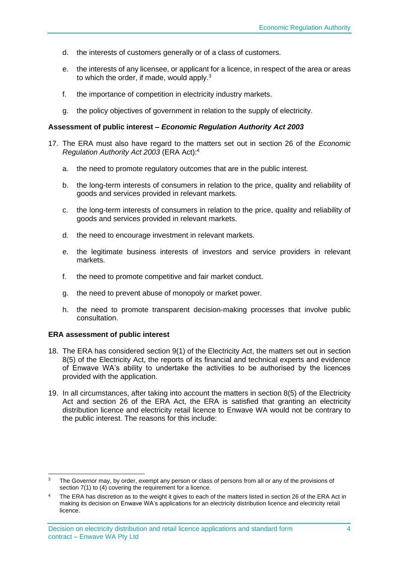- d. the interests of customers generally or of a class of customers.
- e. the interests of any licensee, or applicant for a licence, in respect of the area or areas to which the order, if made, would apply.<sup>3</sup>
- f. the importance of competition in electricity industry markets.
- g. the policy objectives of government in relation to the supply of electricity.

#### **Assessment of public interest –** *Economic Regulation Authority Act 2003*

- 17. The ERA must also have regard to the matters set out in section 26 of the *Economic Regulation Authority Act 2003* (ERA Act):<sup>4</sup>
	- a. the need to promote regulatory outcomes that are in the public interest.
	- b. the long-term interests of consumers in relation to the price, quality and reliability of goods and services provided in relevant markets.
	- c. the long-term interests of consumers in relation to the price, quality and reliability of goods and services provided in relevant markets.
	- d. the need to encourage investment in relevant markets.
	- e. the legitimate business interests of investors and service providers in relevant markets.
	- f. the need to promote competitive and fair market conduct.
	- g. the need to prevent abuse of monopoly or market power.
	- h. the need to promote transparent decision-making processes that involve public consultation.

#### **ERA assessment of public interest**

- 18. The ERA has considered section 9(1) of the Electricity Act, the matters set out in section 8(5) of the Electricity Act, the reports of its financial and technical experts and evidence of Enwave WA's ability to undertake the activities to be authorised by the licences provided with the application.
- 19. In all circumstances, after taking into account the matters in section 8(5) of the Electricity Act and section 26 of the ERA Act, the ERA is satisfied that granting an electricity distribution licence and electricity retail licence to Enwave WA would not be contrary to the public interest. The reasons for this include:

The Governor may, by order, exempt any person or class of persons from all or any of the provisions of section 7(1) to (4) covering the requirement for a licence.

The ERA has discretion as to the weight it gives to each of the matters listed in section 26 of the ERA Act in making its decision on Enwave WA's applications for an electricity distribution licence and electricity retail licence.